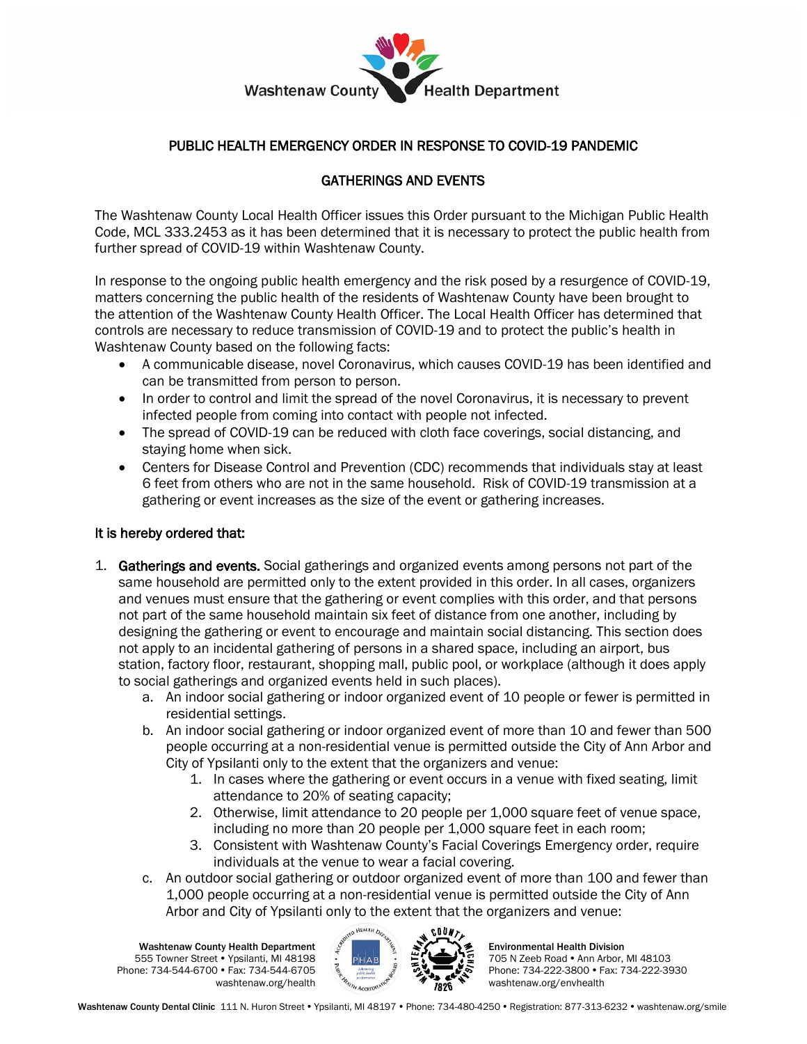

## PUBLIC HEALTH EMERGENCY ORDER IN RESPONSE TO COVID-19 PANDEMIC

## GATHERINGS AND EVENTS

The Washtenaw County Local Health Officer issues this Order pursuant to the Michigan Public Health Code, MCL 333.2453 as it has been determined that it is necessary to protect the public health from further spread of COVID-19 within Washtenaw County.

In response to the ongoing public health emergency and the risk posed by a resurgence of COVID-19, matters concerning the public health of the residents of Washtenaw County have been brought to the attention of the Washtenaw County Health Officer. The Local Health Officer has determined that controls are necessary to reduce transmission of COVID-19 and to protect the public's health in Washtenaw County based on the following facts:

- A communicable disease, novel Coronavirus, which causes COVID-19 has been identified and can be transmitted from person to person.
- In order to control and limit the spread of the novel Coronavirus, it is necessary to prevent infected people from coming into contact with people not infected.
- The spread of COVID-19 can be reduced with cloth face coverings, social distancing, and staying home when sick.
- Centers for Disease Control and Prevention (CDC) recommends that individuals stay at least 6 feet from others who are not in the same household. Risk of COVID-19 transmission at a gathering or event increases as the size of the event or gathering increases.

## It is hereby ordered that:

- 1. Gatherings and events. Social gatherings and organized events among persons not part of the same household are permitted only to the extent provided in this order. In all cases, organizers and venues must ensure that the gathering or event complies with this order, and that persons not part of the same household maintain six feet of distance from one another, including by designing the gathering or event to encourage and maintain social distancing. This section does not apply to an incidental gathering of persons in a shared space, including an airport, bus station, factory floor, restaurant, shopping mall, public pool, or workplace (although it does apply to social gatherings and organized events held in such places).
	- a. An indoor social gathering or indoor organized event of 10 people or fewer is permitted in residential settings.
	- b. An indoor social gathering or indoor organized event of more than 10 and fewer than 500 people occurring at a non-residential venue is permitted outside the City of Ann Arbor and City of Ypsilanti only to the extent that the organizers and venue:
		- 1. In cases where the gathering or event occurs in a venue with fixed seating, limit attendance to 20% of seating capacity;
		- 2. Otherwise, limit attendance to 20 people per 1,000 square feet of venue space, including no more than 20 people per 1,000 square feet in each room;
		- 3. Consistent with Washtenaw County's Facial Coverings Emergency order, require individuals at the venue to wear a facial covering.
	- c. An outdoor social gathering or outdoor organized event of more than 100 and fewer than 1,000 people occurring at a non-residential venue is permitted outside the City of Ann Arbor and City of Ypsilanti only to the extent that the organizers and venue:

Washtenaw County Health Department 555 Towner Street Ypsilanti, MI 48198 Phone: 734-544-6700 • Fax: 734-544-6705 washtenaw.org/health



Environmental Health Division 705 N Zeeb Road . Ann Arbor, MI 48103 Phone: 734-222-3800 • Fax: 734-222-3930 washtenaw.org/envhealth